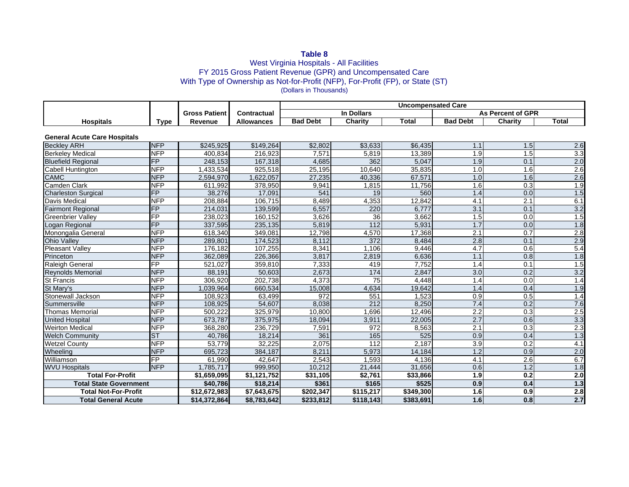## **Table 8**

### West Virginia Hospitals - All Facilities FY 2015 Gross Patient Revenue (GPR) and Uncompensated Care With Type of Ownership as Not-for-Profit (NFP), For-Profit (FP), or State (ST) (Dollars in Thousands)

|                                     |                 |                      |                   | <b>Uncompensated Care</b> |           |              |                  |                          |                  |  |
|-------------------------------------|-----------------|----------------------|-------------------|---------------------------|-----------|--------------|------------------|--------------------------|------------------|--|
|                                     |                 | <b>Gross Patient</b> | Contractual       | <b>In Dollars</b>         |           |              |                  | <b>As Percent of GPR</b> |                  |  |
| <b>Hospitals</b>                    | Type            | Revenue              | <b>Allowances</b> | <b>Bad Debt</b>           | Charity   | <b>Total</b> | <b>Bad Debt</b>  | Charity                  | <b>Total</b>     |  |
|                                     |                 |                      |                   |                           |           |              |                  |                          |                  |  |
| <b>General Acute Care Hospitals</b> |                 |                      |                   |                           |           |              |                  |                          |                  |  |
| <b>Beckley ARH</b>                  | <b>NFP</b>      | \$245.925            | \$149.264         | \$2,802                   | \$3,633   | \$6,435      | 1.1              | 1.5                      | 2.6              |  |
| <b>Berkeley Medical</b>             | NFP             | 400,834              | 216,923           | 7,571                     | 5,819     | 13,389       | 1.9              | 1.5                      | $\overline{3.3}$ |  |
| <b>Bluefield Regional</b>           | <b>FP</b>       | 248,153              | 167,318           | 4,685                     | 362       | 5,047        | 1.9              | 0.1                      | 2.0              |  |
| Cabell Huntington                   | <b>NFP</b>      | 1,433,534            | 925,518           | 25,195                    | 10,640    | 35,835       | 1.0              | 1.6                      | $\overline{2.6}$ |  |
| <b>CAMC</b>                         | <b>NFP</b>      | 2,594,970            | 1,622,057         | 27,235                    | 40,336    | 67,571       | 1.0              | 1.6                      | 2.6              |  |
| Camden Clark                        | <b>NFP</b>      | 611,992              | 378,950           | 9,941                     | 1,815     | 11,756       | 1.6              | 0.3                      | 1.9              |  |
| <b>Charleston Surgical</b>          | $\overline{FP}$ | 38,276               | 17,091            | 541                       | 19        | 560          | 1.4              | 0.0                      | 1.5              |  |
| <b>Davis Medical</b>                | <b>NFP</b>      | 208,884              | 106,715           | 8,489                     | 4,353     | 12,842       | 4.1              | 2.1                      | 6.1              |  |
| <b>Fairmont Regional</b>            | FP              | 214,031              | 139,599           | 6,557                     | 220       | 6.777        | $\overline{3.1}$ | 0.1                      | 3.2              |  |
| Greenbrier Valley                   | $\overline{FP}$ | 238,023              | 160,152           | 3,626                     | 36        | 3,662        | 1.5              | 0.0                      | 1.5              |  |
| Logan Regional                      | $\overline{FP}$ | 337,595              | 235,135           | 5,819                     | 112       | 5,931        | 1.7              | 0.0                      | 1.8              |  |
| Monongalia General                  | <b>NFP</b>      | 618,340              | 349,081           | 12,798                    | 4,570     | 17,368       | 2.1              | 0.7                      | 2.8              |  |
| <b>Ohio Valley</b>                  | <b>NFP</b>      | 289,801              | 174,523           | 8,112                     | 372       | 8,484        | 2.8              | 0.1                      | 2.9              |  |
| Pleasant Valley                     | <b>NFP</b>      | 176,182              | 107,255           | 8,341                     | 1,106     | 9,446        | 4.7              | 0.6                      | 5.4              |  |
| Princeton                           | <b>NFP</b>      | 362,089              | 226,366           | 3,817                     | 2,819     | 6,636        | 1.1              | 0.8                      | 1.8              |  |
| Raleigh General                     | $\overline{FP}$ | $\overline{521,027}$ | 359,810           | 7,333                     | 419       | 7,752        | 1.4              | 0.1                      | 1.5              |  |
| Reynolds Memorial                   | <b>NFP</b>      | 88,191               | 50,603            | 2,673                     | 174       | 2,847        | 3.0              | 0.2                      | 3.2              |  |
| St Francis                          | <b>NFP</b>      | 306,920              | 202,738           | 4,373                     | 75        | 4,448        | 1.4              | 0.0                      | 1.4              |  |
| St Mary's                           | <b>NFP</b>      | 1,039,964            | 660,534           | 15,008                    | 4,634     | 19,642       | 1.4              | 0.4                      | 1.9              |  |
| Stonewall Jackson                   | <b>NFP</b>      | 108,923              | 63,499            | 972                       | 551       | 1,523        | 0.9              | 0.5                      | 1.4              |  |
| Summersville                        | <b>NFP</b>      | 108,925              | 54,607            | 8,038                     | 212       | 8,250        | 7.4              | 0.2                      | 7.6              |  |
| Thomas Memorial                     | <b>NFP</b>      | 500,222              | 325,979           | 10,800                    | 1,696     | 12,496       | 2.2              | 0.3                      | 2.5              |  |
| <b>United Hospital</b>              | <b>NFP</b>      | 673,787              | 375,975           | 18,094                    | 3,911     | 22,005       | 2.7              | 0.6                      | 3.3              |  |
| <b>Weirton Medical</b>              | <b>NFP</b>      | 368,280              | 236,729           | 7,591                     | 972       | 8,563        | $\overline{2.1}$ | $\overline{0.3}$         | 2.3              |  |
| <b>Welch Community</b>              | <b>ST</b>       | 40,786               | 18,214            | 361                       | 165       | 525          | 0.9              | 0.4                      | 1.3              |  |
| <b>Wetzel County</b>                | <b>NFP</b>      | 53,779               | 32,225            | 2,075                     | 112       | 2.187        | 3.9              | 0.2                      | 4.1              |  |
| Wheeling                            | <b>NFP</b>      | 695,723              | 384,187           | 8,211                     | 5,973     | 14,184       | 1.2              | 0.9                      | 2.0              |  |
| Williamson                          | FP              | 61,990               | 42,647            | 2,543                     | 1,593     | 4,136        | 4.1              | $\overline{2.6}$         | 6.7              |  |
| <b>WVU Hospitals</b>                | <b>NFP</b>      | 1,785,717            | 999,950           | 10,212                    | 21,444    | 31,656       | 0.6              | 1.2                      | 1.8              |  |
| <b>Total For-Profit</b>             |                 | \$1,659,095          | \$1,121,752       | \$31,105                  | \$2,761   | \$33,866     | 1.9              | 0.2                      | 2.0              |  |
| <b>Total State Government</b>       |                 | \$40,786             | \$18,214          | \$361                     | \$165     | \$525        | 0.9              | 0.4                      | 1.3              |  |
| <b>Total Not-For-Profit</b>         |                 | \$12,672,983         | \$7,643,675       | \$202,347                 | \$115,217 | \$349,300    | 1.6              | 0.9                      | 2.8              |  |
| <b>Total General Acute</b>          |                 | \$14,372,864         | \$8,783,642       | \$233,812                 | \$118,143 | \$383,691    | 1.6              | 0.8                      | 2.7              |  |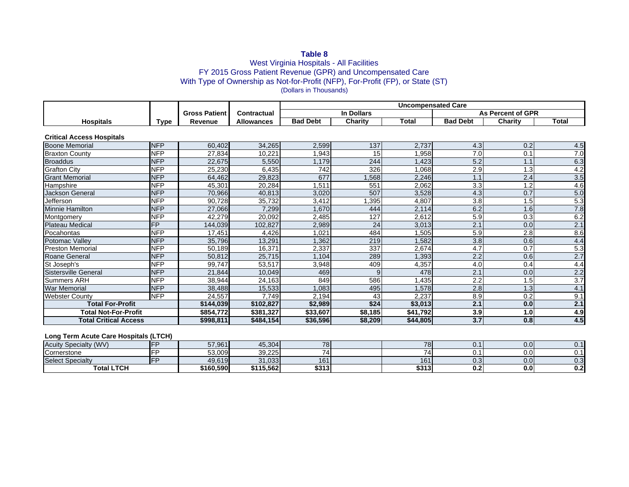# **Table 8**

### West Virginia Hospitals - All Facilities FY 2015 Gross Patient Revenue (GPR) and Uncompensated Care With Type of Ownership as Not-for-Profit (NFP), For-Profit (FP), or State (ST) (Dollars in Thousands)

|                                  |                          |                      |                   | <b>Uncompensated Care</b> |         |          |                   |                |              |
|----------------------------------|--------------------------|----------------------|-------------------|---------------------------|---------|----------|-------------------|----------------|--------------|
|                                  |                          | <b>Gross Patient</b> | Contractual       | In Dollars                |         |          | As Percent of GPR |                |              |
| <b>Hospitals</b>                 | <b>Type</b>              | Revenue              | <b>Allowances</b> | <b>Bad Debt</b>           | Charity | Total    | <b>Bad Debt</b>   | <b>Charity</b> | <b>Total</b> |
|                                  |                          |                      |                   |                           |         |          |                   |                |              |
| <b>Critical Access Hospitals</b> |                          |                      |                   |                           |         |          |                   |                |              |
| <b>Boone Memorial</b>            | <b>NFP</b>               | 60,402               | 34,265            | 2,599                     | 137     | 2,737    | 4.3               | 0.2            | 4.5          |
| <b>Braxton County</b>            | <b>NFP</b>               | 27,834               | 10,221            | .943                      | 15      | .958     | 7.0               | 0.1            | 7.0          |
| <b>Broaddus</b>                  | <b>NFP</b>               | 22,675               | 5,550             | ,179                      | 244     | ,423     | 5.2               |                | 6.3          |
| <b>Grafton City</b>              | <b>NFP</b>               | 25,230               | 6,435             | 742                       | 326     | .068     | 2.9               | 1.3            | 4.2          |
| <b>Grant Memorial</b>            | <b>NFP</b>               | 64,462               | 29,823            | 677                       | ,568    | 2,246    | 1.1               | 2.4            | 3.5          |
| Hampshire                        | <b>NFP</b>               | 45,301               | 20,284            | , 511                     | 551     | 2,062    | 3.3               | $\overline{2}$ | 4.6          |
| <b>Jackson General</b>           | <b>NFP</b>               | 70,966               | 40,813            | 3,020                     | 507     | 3,528    | 4.3               | 0.7            | 5.0          |
| Jefferson                        | <b>NFP</b>               | 90,728               | 35,732            | 3,412                     | ,395    | 4,807    | 3.8               | .5             | 5.3          |
| Minnie Hamilton                  | <b>NFP</b>               | 27,066               | 7,299             | .670                      | 444     | 2,114    | 6.2               | .6             | 7.8          |
| Montgomery                       | <b>NFP</b>               | 42,279               | 20,092            | 2,485                     | 127     | 2,612    | 5.9               | 0.3            | 6.2          |
| <b>Plateau Medical</b>           | $\overline{\mathsf{FP}}$ | 144,039              | 102,827           | 2,989                     | 24      | 3,013    | $\overline{2.1}$  | 0.0            | 2.1          |
| Pocahontas                       | <b>NFP</b>               | 17,451               | 4,426             | ,021                      | 484     | .505     | 5.9               | 2.8            | 8.6          |
| Potomac Vallev                   | <b>NFP</b>               | 35,796               | 13,291            | ,362                      | 219     | 1,582    | 3.8               | 0.6            | 4.4          |
| <b>Preston Memorial</b>          | <b>NFP</b>               | 50,189               | 16,371            | 2,337                     | 337     | 2,674    | 4.7               | 0.7            | 5.3          |
| Roane General                    | <b>NFP</b>               | 50,812               | 25,715            | ,104                      | 289     | ,393     | 2.2               | 0.6            | 2.7          |
| St Joseph's                      | <b>NFP</b>               | 99,747               | 53,517            | 3,948                     | 409     | 4,357    | 4.0               | 0.4            | 4.4          |
| Sistersville General             | <b>NFP</b>               | 21,844               | 10,049            | 469                       | 9       | 478      | 2.1               | 0.0            | 2.2          |
| <b>Summers ARH</b>               | <b>NFP</b>               | 38,944               | 24,163            | 849                       | 586     | ,435     | 2.2               | 1.5            | 3.7          |
| <b>War Memorial</b>              | <b>NFP</b>               | 38,488               | 15,533            | ,083                      | 495     | 1,578    | 2.8               | 1.3            | 4.1          |
| <b>Webster County</b>            | <b>NFP</b>               | 24,557               | 7,749             | 2,194                     | 43      | 2,237    | 8.9               | 0.2            | 9.1          |
| <b>Total For-Profit</b>          |                          | \$144,039            | \$102,827         | \$2,989                   | \$24    | \$3,013  | 2.1               | 0.0            | 2.1          |
| <b>Total Not-For-Profit</b>      |                          | \$854,772            | \$381,327         | \$33,607                  | \$8,185 | \$41,792 | 3.9               | 1.0            | 4.9          |
| <b>Total Critical Access</b>     |                          | \$998,811            | \$484,154         | \$36,596                  | \$8,209 | \$44,805 | 3.7               | 0.8            | 4.5          |

#### **Long Term Acute Care Hospitals (LTCH)**

| (WV)<br>Acuity<br>Specialty |  | 57,961    | 45,304    | 78                       | <b>78</b>       | <b>.</b> | v.v | υ.  |
|-----------------------------|--|-----------|-----------|--------------------------|-----------------|----------|-----|-----|
| <b>Cornerstone</b>          |  | 53.009    | 39,225    | $\overline{\phantom{0}}$ |                 |          | v.v | ັ.  |
| <b>Select Specialty</b>     |  | 49,619    | 31,033    | 161                      | 16 <sup>4</sup> | ∪.ບ⊺     | 0.0 | ບ.ບ |
| <b>Total LTCH</b><br>. וטו  |  | ኔ160.590l | \$115,562 | \$313                    | \$313           | v.z      | v.v | v.c |